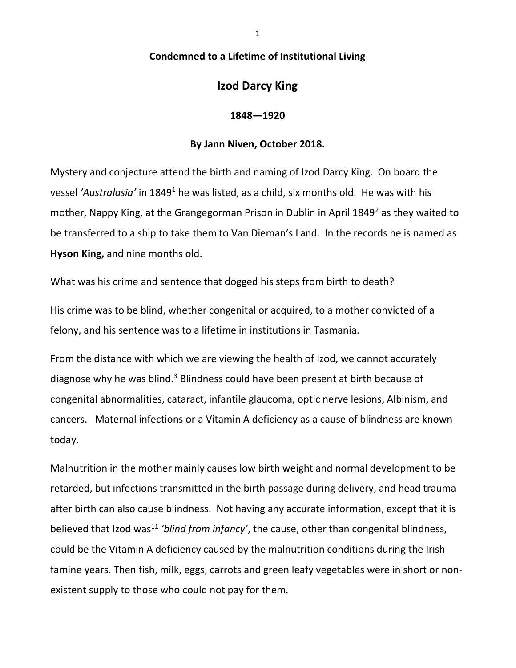## Condemned to a Lifetime of Institutional Living

## Izod Darcy King

## 1848—1920

## By Jann Niven, October 2018.

Mystery and conjecture attend the birth and naming of Izod Darcy King. On board the vessel 'Australasia' in 1849<sup>1</sup> he was listed, as a child, six months old. He was with his mother, Nappy King, at the Grangegorman Prison in Dublin in April 1849<sup>2</sup> as they waited to be transferred to a ship to take them to Van Dieman's Land. In the records he is named as Hyson King, and nine months old.

What was his crime and sentence that dogged his steps from birth to death?

His crime was to be blind, whether congenital or acquired, to a mother convicted of a felony, and his sentence was to a lifetime in institutions in Tasmania.

From the distance with which we are viewing the health of Izod, we cannot accurately diagnose why he was blind.<sup>3</sup> Blindness could have been present at birth because of congenital abnormalities, cataract, infantile glaucoma, optic nerve lesions, Albinism, and cancers. Maternal infections or a Vitamin A deficiency as a cause of blindness are known today.

Malnutrition in the mother mainly causes low birth weight and normal development to be retarded, but infections transmitted in the birth passage during delivery, and head trauma after birth can also cause blindness. Not having any accurate information, except that it is believed that Izod was<sup>11</sup> 'blind from infancy', the cause, other than congenital blindness, could be the Vitamin A deficiency caused by the malnutrition conditions during the Irish famine years. Then fish, milk, eggs, carrots and green leafy vegetables were in short or nonexistent supply to those who could not pay for them.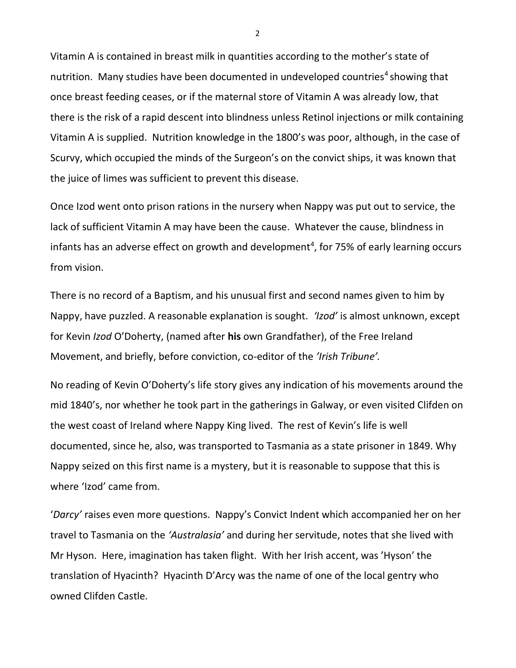Vitamin A is contained in breast milk in quantities according to the mother's state of nutrition. Many studies have been documented in undeveloped countries<sup>4</sup> showing that once breast feeding ceases, or if the maternal store of Vitamin A was already low, that there is the risk of a rapid descent into blindness unless Retinol injections or milk containing Vitamin A is supplied. Nutrition knowledge in the 1800's was poor, although, in the case of Scurvy, which occupied the minds of the Surgeon's on the convict ships, it was known that the juice of limes was sufficient to prevent this disease.

Once Izod went onto prison rations in the nursery when Nappy was put out to service, the lack of sufficient Vitamin A may have been the cause. Whatever the cause, blindness in infants has an adverse effect on growth and development<sup>4</sup>, for 75% of early learning occurs from vision.

There is no record of a Baptism, and his unusual first and second names given to him by Nappy, have puzzled. A reasonable explanation is sought. 'Izod' is almost unknown, except for Kevin Izod O'Doherty, (named after his own Grandfather), of the Free Ireland Movement, and briefly, before conviction, co-editor of the 'Irish Tribune'.

No reading of Kevin O'Doherty's life story gives any indication of his movements around the mid 1840's, nor whether he took part in the gatherings in Galway, or even visited Clifden on the west coast of Ireland where Nappy King lived. The rest of Kevin's life is well documented, since he, also, was transported to Tasmania as a state prisoner in 1849. Why Nappy seized on this first name is a mystery, but it is reasonable to suppose that this is where 'Izod' came from.

'Darcy' raises even more questions. Nappy's Convict Indent which accompanied her on her travel to Tasmania on the 'Australasia' and during her servitude, notes that she lived with Mr Hyson. Here, imagination has taken flight. With her Irish accent, was 'Hyson' the translation of Hyacinth? Hyacinth D'Arcy was the name of one of the local gentry who owned Clifden Castle.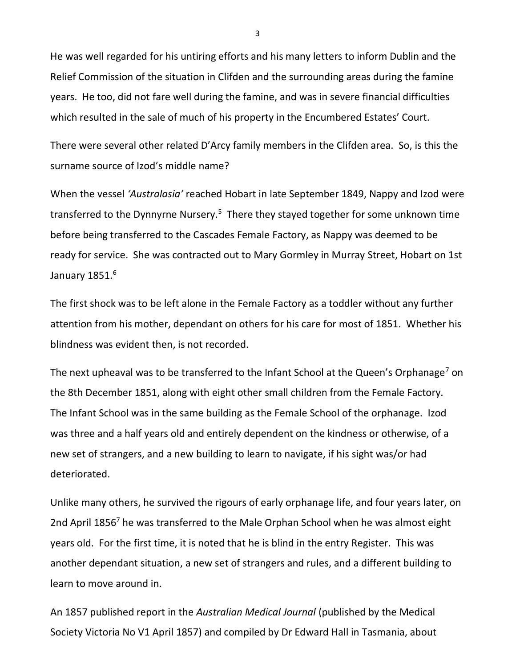He was well regarded for his untiring efforts and his many letters to inform Dublin and the Relief Commission of the situation in Clifden and the surrounding areas during the famine years. He too, did not fare well during the famine, and was in severe financial difficulties which resulted in the sale of much of his property in the Encumbered Estates' Court.

There were several other related D'Arcy family members in the Clifden area. So, is this the surname source of Izod's middle name?

When the vessel 'Australasia' reached Hobart in late September 1849, Nappy and Izod were transferred to the Dynnyrne Nursery.<sup>5</sup> There they stayed together for some unknown time before being transferred to the Cascades Female Factory, as Nappy was deemed to be ready for service. She was contracted out to Mary Gormley in Murray Street, Hobart on 1st January 1851. $^6$ 

The first shock was to be left alone in the Female Factory as a toddler without any further attention from his mother, dependant on others for his care for most of 1851. Whether his blindness was evident then, is not recorded.

The next upheaval was to be transferred to the Infant School at the Queen's Orphanage<sup>7</sup> on the 8th December 1851, along with eight other small children from the Female Factory. The Infant School was in the same building as the Female School of the orphanage. Izod was three and a half years old and entirely dependent on the kindness or otherwise, of a new set of strangers, and a new building to learn to navigate, if his sight was/or had deteriorated.

Unlike many others, he survived the rigours of early orphanage life, and four years later, on 2nd April 1856<sup>7</sup> he was transferred to the Male Orphan School when he was almost eight years old. For the first time, it is noted that he is blind in the entry Register. This was another dependant situation, a new set of strangers and rules, and a different building to learn to move around in.

An 1857 published report in the Australian Medical Journal (published by the Medical Society Victoria No V1 April 1857) and compiled by Dr Edward Hall in Tasmania, about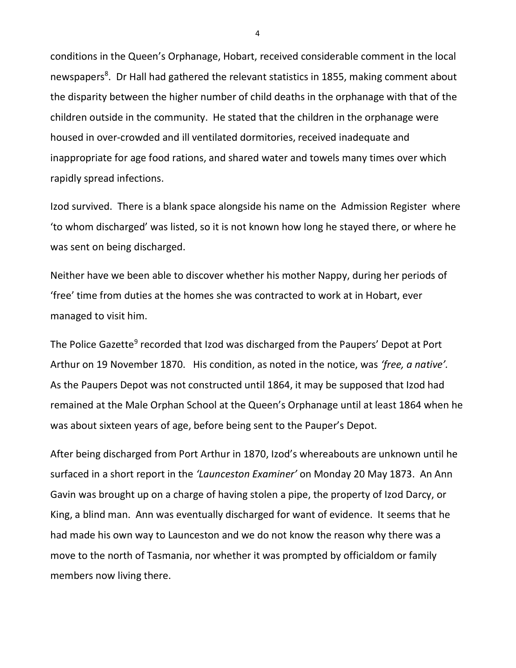conditions in the Queen's Orphanage, Hobart, received considerable comment in the local newspapers<sup>8</sup>. Dr Hall had gathered the relevant statistics in 1855, making comment about the disparity between the higher number of child deaths in the orphanage with that of the children outside in the community. He stated that the children in the orphanage were housed in over-crowded and ill ventilated dormitories, received inadequate and inappropriate for age food rations, and shared water and towels many times over which rapidly spread infections.

Izod survived. There is a blank space alongside his name on the Admission Register where 'to whom discharged' was listed, so it is not known how long he stayed there, or where he was sent on being discharged.

Neither have we been able to discover whether his mother Nappy, during her periods of 'free' time from duties at the homes she was contracted to work at in Hobart, ever managed to visit him.

The Police Gazette<sup>9</sup> recorded that Izod was discharged from the Paupers' Depot at Port Arthur on 19 November 1870. His condition, as noted in the notice, was 'free, a native'. As the Paupers Depot was not constructed until 1864, it may be supposed that Izod had remained at the Male Orphan School at the Queen's Orphanage until at least 1864 when he was about sixteen years of age, before being sent to the Pauper's Depot.

After being discharged from Port Arthur in 1870, Izod's whereabouts are unknown until he surfaced in a short report in the 'Launceston Examiner' on Monday 20 May 1873. An Ann Gavin was brought up on a charge of having stolen a pipe, the property of Izod Darcy, or King, a blind man. Ann was eventually discharged for want of evidence. It seems that he had made his own way to Launceston and we do not know the reason why there was a move to the north of Tasmania, nor whether it was prompted by officialdom or family members now living there.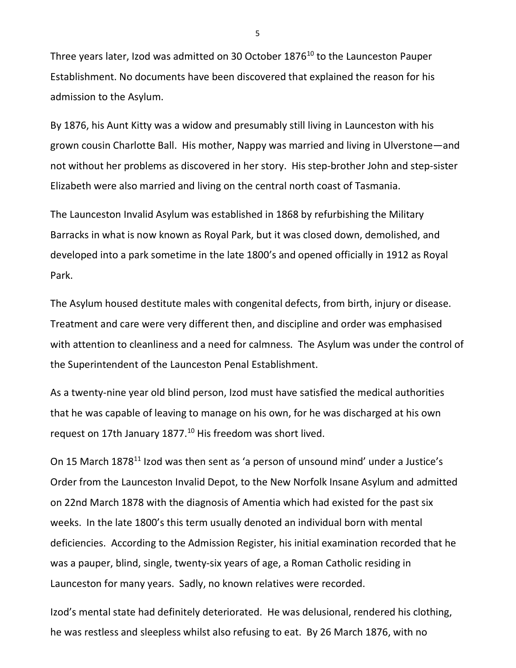Three years later, Izod was admitted on 30 October 1876<sup>10</sup> to the Launceston Pauper Establishment. No documents have been discovered that explained the reason for his admission to the Asylum.

By 1876, his Aunt Kitty was a widow and presumably still living in Launceston with his grown cousin Charlotte Ball. His mother, Nappy was married and living in Ulverstone—and not without her problems as discovered in her story. His step-brother John and step-sister Elizabeth were also married and living on the central north coast of Tasmania.

The Launceston Invalid Asylum was established in 1868 by refurbishing the Military Barracks in what is now known as Royal Park, but it was closed down, demolished, and developed into a park sometime in the late 1800's and opened officially in 1912 as Royal Park.

The Asylum housed destitute males with congenital defects, from birth, injury or disease. Treatment and care were very different then, and discipline and order was emphasised with attention to cleanliness and a need for calmness. The Asylum was under the control of the Superintendent of the Launceston Penal Establishment.

As a twenty-nine year old blind person, Izod must have satisfied the medical authorities that he was capable of leaving to manage on his own, for he was discharged at his own request on 17th January  $1877<sup>10</sup>$  His freedom was short lived.

On 15 March 1878<sup>11</sup> Izod was then sent as 'a person of unsound mind' under a Justice's Order from the Launceston Invalid Depot, to the New Norfolk Insane Asylum and admitted on 22nd March 1878 with the diagnosis of Amentia which had existed for the past six weeks. In the late 1800's this term usually denoted an individual born with mental deficiencies. According to the Admission Register, his initial examination recorded that he was a pauper, blind, single, twenty-six years of age, a Roman Catholic residing in Launceston for many years. Sadly, no known relatives were recorded.

Izod's mental state had definitely deteriorated. He was delusional, rendered his clothing, he was restless and sleepless whilst also refusing to eat. By 26 March 1876, with no